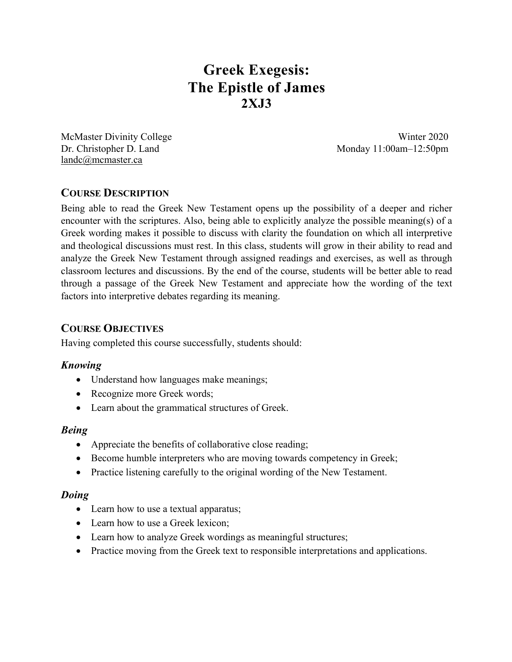# **Greek Exegesis: The Epistle of James 2XJ3**

McMaster Divinity College Winter 2020 landc@mcmaster.ca

Dr. Christopher D. Land Monday 11:00am–12:50pm

# **COURSE DESCRIPTION**

Being able to read the Greek New Testament opens up the possibility of a deeper and richer encounter with the scriptures. Also, being able to explicitly analyze the possible meaning(s) of a Greek wording makes it possible to discuss with clarity the foundation on which all interpretive and theological discussions must rest. In this class, students will grow in their ability to read and analyze the Greek New Testament through assigned readings and exercises, as well as through classroom lectures and discussions. By the end of the course, students will be better able to read through a passage of the Greek New Testament and appreciate how the wording of the text factors into interpretive debates regarding its meaning.

# **COURSE OBJECTIVES**

Having completed this course successfully, students should:

# *Knowing*

- Understand how languages make meanings;
- Recognize more Greek words;
- Learn about the grammatical structures of Greek.

## *Being*

- Appreciate the benefits of collaborative close reading;
- Become humble interpreters who are moving towards competency in Greek;
- Practice listening carefully to the original wording of the New Testament.

## *Doing*

- Learn how to use a textual apparatus;
- Learn how to use a Greek lexicon;
- Learn how to analyze Greek wordings as meaningful structures;
- Practice moving from the Greek text to responsible interpretations and applications.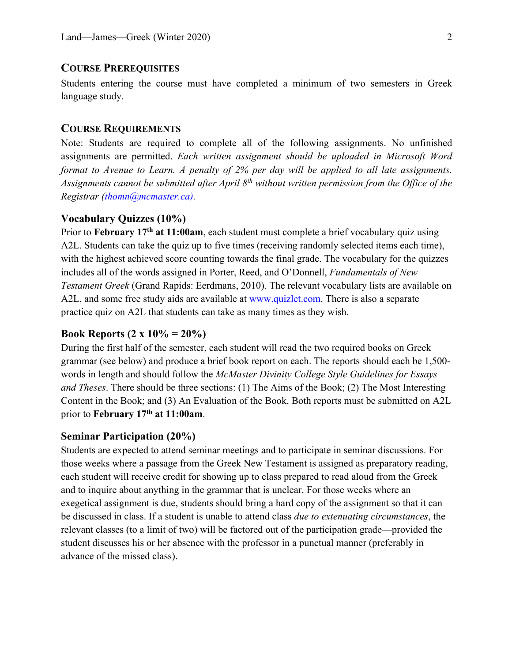## **COURSE PREREQUISITES**

Students entering the course must have completed a minimum of two semesters in Greek language study.

## **COURSE REQUIREMENTS**

Note: Students are required to complete all of the following assignments. No unfinished assignments are permitted. *Each written assignment should be uploaded in Microsoft Word format to Avenue to Learn. A penalty of 2% per day will be applied to all late assignments. Assignments cannot be submitted after April 8th without written permission from the Office of the Registrar (thomn@mcmaster.ca).*

#### **Vocabulary Quizzes (10%)**

Prior to **February 17th at 11:00am**, each student must complete a brief vocabulary quiz using A2L. Students can take the quiz up to five times (receiving randomly selected items each time), with the highest achieved score counting towards the final grade. The vocabulary for the quizzes includes all of the words assigned in Porter, Reed, and O'Donnell, *Fundamentals of New Testament Greek* (Grand Rapids: Eerdmans, 2010). The relevant vocabulary lists are available on A2L, and some free study aids are available at www.quizlet.com. There is also a separate practice quiz on A2L that students can take as many times as they wish.

#### **Book Reports (2 x 10% = 20%)**

During the first half of the semester, each student will read the two required books on Greek grammar (see below) and produce a brief book report on each. The reports should each be 1,500 words in length and should follow the *McMaster Divinity College Style Guidelines for Essays and Theses*. There should be three sections: (1) The Aims of the Book; (2) The Most Interesting Content in the Book; and (3) An Evaluation of the Book. Both reports must be submitted on A2L prior to **February 17th at 11:00am**.

#### **Seminar Participation (20%)**

Students are expected to attend seminar meetings and to participate in seminar discussions. For those weeks where a passage from the Greek New Testament is assigned as preparatory reading, each student will receive credit for showing up to class prepared to read aloud from the Greek and to inquire about anything in the grammar that is unclear. For those weeks where an exegetical assignment is due, students should bring a hard copy of the assignment so that it can be discussed in class. If a student is unable to attend class *due to extenuating circumstances*, the relevant classes (to a limit of two) will be factored out of the participation grade—provided the student discusses his or her absence with the professor in a punctual manner (preferably in advance of the missed class).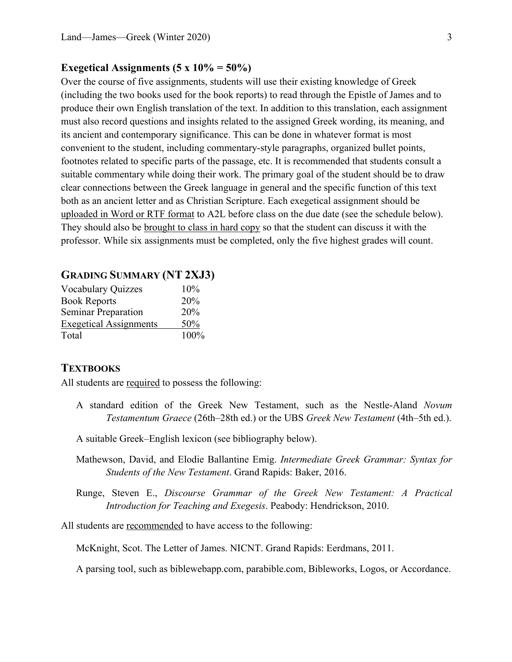#### **Exegetical Assignments (5 x 10% = 50%)**

Over the course of five assignments, students will use their existing knowledge of Greek (including the two books used for the book reports) to read through the Epistle of James and to produce their own English translation of the text. In addition to this translation, each assignment must also record questions and insights related to the assigned Greek wording, its meaning, and its ancient and contemporary significance. This can be done in whatever format is most convenient to the student, including commentary-style paragraphs, organized bullet points, footnotes related to specific parts of the passage, etc. It is recommended that students consult a suitable commentary while doing their work. The primary goal of the student should be to draw clear connections between the Greek language in general and the specific function of this text both as an ancient letter and as Christian Scripture. Each exegetical assignment should be uploaded in Word or RTF format to A2L before class on the due date (see the schedule below). They should also be brought to class in hard copy so that the student can discuss it with the professor. While six assignments must be completed, only the five highest grades will count.

## **GRADING SUMMARY (NT 2XJ3)**

| <b>Vocabulary Quizzes</b>     | 10%  |
|-------------------------------|------|
| <b>Book Reports</b>           | 20%  |
| <b>Seminar Preparation</b>    | 20%  |
| <b>Exegetical Assignments</b> | 50%  |
| Total                         | 100% |

#### **TEXTBOOKS**

All students are required to possess the following:

- A standard edition of the Greek New Testament, such as the Nestle-Aland *Novum Testamentum Graece* (26th–28th ed.) or the UBS *Greek New Testament* (4th–5th ed.).
- A suitable Greek–English lexicon (see bibliography below).
- Mathewson, David, and Elodie Ballantine Emig. *Intermediate Greek Grammar: Syntax for Students of the New Testament*. Grand Rapids: Baker, 2016.
- Runge, Steven E., *Discourse Grammar of the Greek New Testament: A Practical Introduction for Teaching and Exegesis*. Peabody: Hendrickson, 2010.

All students are recommended to have access to the following:

McKnight, Scot. The Letter of James. NICNT. Grand Rapids: Eerdmans, 2011.

A parsing tool, such as biblewebapp.com, parabible.com, Bibleworks, Logos, or Accordance.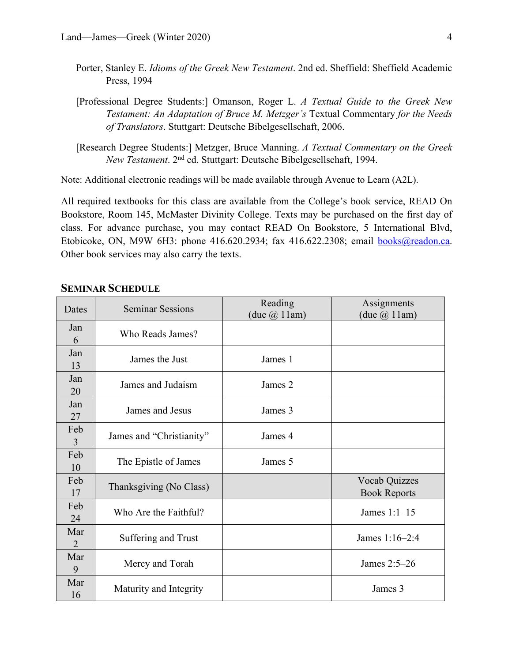- Porter, Stanley E. *Idioms of the Greek New Testament*. 2nd ed. Sheffield: Sheffield Academic Press, 1994
- [Professional Degree Students:] Omanson, Roger L. *A Textual Guide to the Greek New Testament: An Adaptation of Bruce M. Metzger's* Textual Commentary *for the Needs of Translators*. Stuttgart: Deutsche Bibelgesellschaft, 2006.
- [Research Degree Students:] Metzger, Bruce Manning. *A Textual Commentary on the Greek New Testament*. 2nd ed. Stuttgart: Deutsche Bibelgesellschaft, 1994.

Note: Additional electronic readings will be made available through Avenue to Learn (A2L).

All required textbooks for this class are available from the College's book service, READ On Bookstore, Room 145, McMaster Divinity College. Texts may be purchased on the first day of class. For advance purchase, you may contact READ On Bookstore, 5 International Blvd, Etobicoke, ON, M9W 6H3: phone 416.620.2934; fax 416.622.2308; email books@readon.ca. Other book services may also carry the texts.

## **SEMINAR SCHEDULE**

| Dates     | <b>Seminar Sessions</b>  | Reading<br>(due $\omega$ 11am) | Assignments<br>$(\text{due } (\hat{\omega}) 11 \text{am})$ |
|-----------|--------------------------|--------------------------------|------------------------------------------------------------|
| Jan<br>6  | Who Reads James?         |                                |                                                            |
| Jan<br>13 | James the Just           | James 1                        |                                                            |
| Jan<br>20 | James and Judaism        | James 2                        |                                                            |
| Jan<br>27 | James and Jesus          | James 3                        |                                                            |
| Feb<br>3  | James and "Christianity" | James 4                        |                                                            |
| Feb<br>10 | The Epistle of James     | James 5                        |                                                            |
| Feb<br>17 | Thanksgiving (No Class)  |                                | <b>Vocab Quizzes</b><br><b>Book Reports</b>                |
| Feb<br>24 | Who Are the Faithful?    |                                | James $1:1-15$                                             |
| Mar<br>2  | Suffering and Trust      |                                | James 1:16-2:4                                             |
| Mar<br>9  | Mercy and Torah          |                                | James 2:5-26                                               |
| Mar<br>16 | Maturity and Integrity   |                                | James 3                                                    |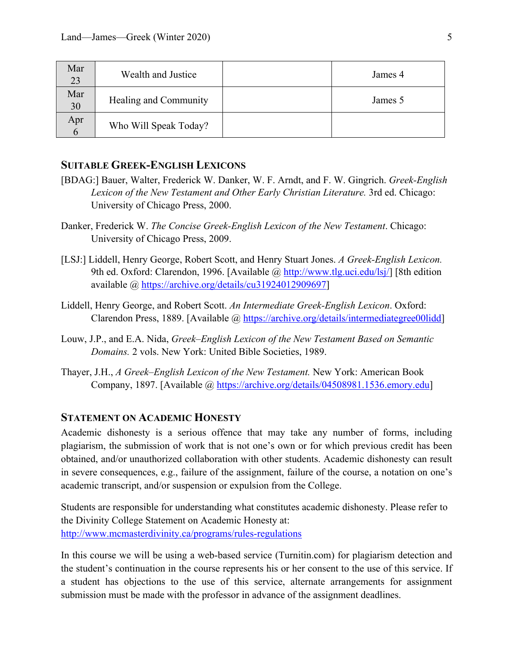| Mar<br>23 | Wealth and Justice    | James 4 |
|-----------|-----------------------|---------|
| Mar<br>30 | Healing and Community | James 5 |
| Apr       | Who Will Speak Today? |         |

## **SUITABLE GREEK-ENGLISH LEXICONS**

- [BDAG:] Bauer, Walter, Frederick W. Danker, W. F. Arndt, and F. W. Gingrich. *Greek-English Lexicon of the New Testament and Other Early Christian Literature.* 3rd ed. Chicago: University of Chicago Press, 2000.
- Danker, Frederick W. *The Concise Greek-English Lexicon of the New Testament*. Chicago: University of Chicago Press, 2009.
- [LSJ:] Liddell, Henry George, Robert Scott, and Henry Stuart Jones. *A Greek-English Lexicon.* 9th ed. Oxford: Clarendon, 1996. [Available @ http://www.tlg.uci.edu/lsj/] [8th edition available @ https://archive.org/details/cu31924012909697]
- Liddell, Henry George, and Robert Scott. *An Intermediate Greek-English Lexicon*. Oxford: Clarendon Press, 1889. [Available @ https://archive.org/details/intermediategree00lidd]
- Louw, J.P., and E.A. Nida, *Greek–English Lexicon of the New Testament Based on Semantic Domains.* 2 vols. New York: United Bible Societies, 1989.
- Thayer, J.H., *A Greek–English Lexicon of the New Testament.* New York: American Book Company, 1897. [Available @ https://archive.org/details/04508981.1536.emory.edu]

#### **STATEMENT ON ACADEMIC HONESTY**

Academic dishonesty is a serious offence that may take any number of forms, including plagiarism, the submission of work that is not one's own or for which previous credit has been obtained, and/or unauthorized collaboration with other students. Academic dishonesty can result in severe consequences, e.g., failure of the assignment, failure of the course, a notation on one's academic transcript, and/or suspension or expulsion from the College.

Students are responsible for understanding what constitutes academic dishonesty. Please refer to the Divinity College Statement on Academic Honesty at: http://www.mcmasterdivinity.ca/programs/rules-regulations

In this course we will be using a web-based service (Turnitin.com) for plagiarism detection and the student's continuation in the course represents his or her consent to the use of this service. If a student has objections to the use of this service, alternate arrangements for assignment submission must be made with the professor in advance of the assignment deadlines.